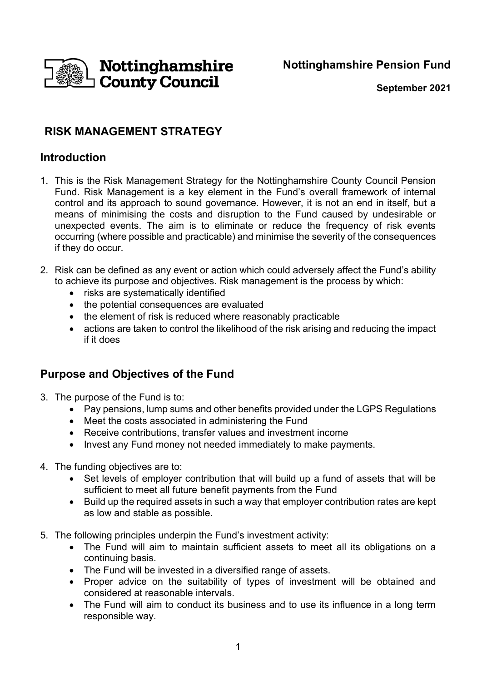**Nottinghamshire Pension Fund**



**September 2021**

# **RISK MANAGEMENT STRATEGY**

## **Introduction**

- 1. This is the Risk Management Strategy for the Nottinghamshire County Council Pension Fund. Risk Management is a key element in the Fund's overall framework of internal control and its approach to sound governance. However, it is not an end in itself, but a means of minimising the costs and disruption to the Fund caused by undesirable or unexpected events. The aim is to eliminate or reduce the frequency of risk events occurring (where possible and practicable) and minimise the severity of the consequences if they do occur.
- 2. Risk can be defined as any event or action which could adversely affect the Fund's ability to achieve its purpose and objectives. Risk management is the process by which:
	- risks are systematically identified
	- the potential consequences are evaluated
	- the element of risk is reduced where reasonably practicable
	- actions are taken to control the likelihood of the risk arising and reducing the impact if it does

## **Purpose and Objectives of the Fund**

- 3. The purpose of the Fund is to:
	- Pay pensions, lump sums and other benefits provided under the LGPS Regulations
	- Meet the costs associated in administering the Fund
	- Receive contributions, transfer values and investment income
	- Invest any Fund money not needed immediately to make payments.
- 4. The funding objectives are to:
	- Set levels of employer contribution that will build up a fund of assets that will be sufficient to meet all future benefit payments from the Fund
	- Build up the required assets in such a way that employer contribution rates are kept as low and stable as possible.
- 5. The following principles underpin the Fund's investment activity:
	- The Fund will aim to maintain sufficient assets to meet all its obligations on a continuing basis.
	- The Fund will be invested in a diversified range of assets.
	- Proper advice on the suitability of types of investment will be obtained and considered at reasonable intervals.
	- The Fund will aim to conduct its business and to use its influence in a long term responsible way.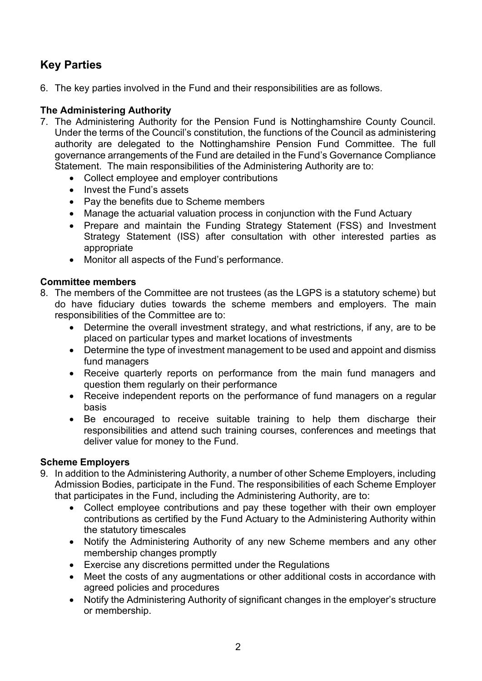# **Key Parties**

6. The key parties involved in the Fund and their responsibilities are as follows.

### **The Administering Authority**

- 7. The Administering Authority for the Pension Fund is Nottinghamshire County Council. Under the terms of the Council's constitution, the functions of the Council as administering authority are delegated to the Nottinghamshire Pension Fund Committee. The full governance arrangements of the Fund are detailed in the Fund's Governance Compliance Statement. The main responsibilities of the Administering Authority are to:
	- Collect employee and employer contributions
	- Invest the Fund's assets
	- Pay the benefits due to Scheme members
	- Manage the actuarial valuation process in conjunction with the Fund Actuary
	- Prepare and maintain the Funding Strategy Statement (FSS) and Investment Strategy Statement (ISS) after consultation with other interested parties as appropriate
	- Monitor all aspects of the Fund's performance.

#### **Committee members**

- 8. The members of the Committee are not trustees (as the LGPS is a statutory scheme) but do have fiduciary duties towards the scheme members and employers. The main responsibilities of the Committee are to:
	- Determine the overall investment strategy, and what restrictions, if any, are to be placed on particular types and market locations of investments
	- Determine the type of investment management to be used and appoint and dismiss fund managers
	- Receive quarterly reports on performance from the main fund managers and question them regularly on their performance
	- Receive independent reports on the performance of fund managers on a regular basis
	- Be encouraged to receive suitable training to help them discharge their responsibilities and attend such training courses, conferences and meetings that deliver value for money to the Fund.

#### **Scheme Employers**

- 9. In addition to the Administering Authority, a number of other Scheme Employers, including Admission Bodies, participate in the Fund. The responsibilities of each Scheme Employer that participates in the Fund, including the Administering Authority, are to:
	- Collect employee contributions and pay these together with their own employer contributions as certified by the Fund Actuary to the Administering Authority within the statutory timescales
	- Notify the Administering Authority of any new Scheme members and any other membership changes promptly
	- Exercise any discretions permitted under the Regulations
	- Meet the costs of any augmentations or other additional costs in accordance with agreed policies and procedures
	- Notify the Administering Authority of significant changes in the employer's structure or membership.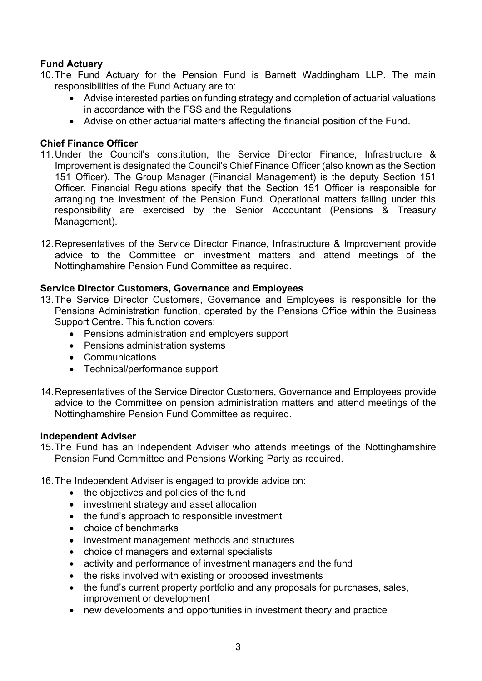### **Fund Actuary**

10.The Fund Actuary for the Pension Fund is Barnett Waddingham LLP. The main responsibilities of the Fund Actuary are to:

- Advise interested parties on funding strategy and completion of actuarial valuations in accordance with the FSS and the Regulations
- Advise on other actuarial matters affecting the financial position of the Fund.

#### **Chief Finance Officer**

- 11.Under the Council's constitution, the Service Director Finance, Infrastructure & Improvement is designated the Council's Chief Finance Officer (also known as the Section 151 Officer). The Group Manager (Financial Management) is the deputy Section 151 Officer. Financial Regulations specify that the Section 151 Officer is responsible for arranging the investment of the Pension Fund. Operational matters falling under this responsibility are exercised by the Senior Accountant (Pensions & Treasury Management).
- 12.Representatives of the Service Director Finance, Infrastructure & Improvement provide advice to the Committee on investment matters and attend meetings of the Nottinghamshire Pension Fund Committee as required.

#### **Service Director Customers, Governance and Employees**

- 13.The Service Director Customers, Governance and Employees is responsible for the Pensions Administration function, operated by the Pensions Office within the Business Support Centre. This function covers:
	- Pensions administration and employers support
	- Pensions administration systems
	- Communications
	- Technical/performance support
- 14.Representatives of the Service Director Customers, Governance and Employees provide advice to the Committee on pension administration matters and attend meetings of the Nottinghamshire Pension Fund Committee as required.

#### **Independent Adviser**

- 15.The Fund has an Independent Adviser who attends meetings of the Nottinghamshire Pension Fund Committee and Pensions Working Party as required.
- 16.The Independent Adviser is engaged to provide advice on:
	- the objectives and policies of the fund
	- investment strategy and asset allocation
	- the fund's approach to responsible investment
	- choice of benchmarks
	- investment management methods and structures
	- choice of managers and external specialists
	- activity and performance of investment managers and the fund
	- the risks involved with existing or proposed investments
	- the fund's current property portfolio and any proposals for purchases, sales, improvement or development
	- new developments and opportunities in investment theory and practice